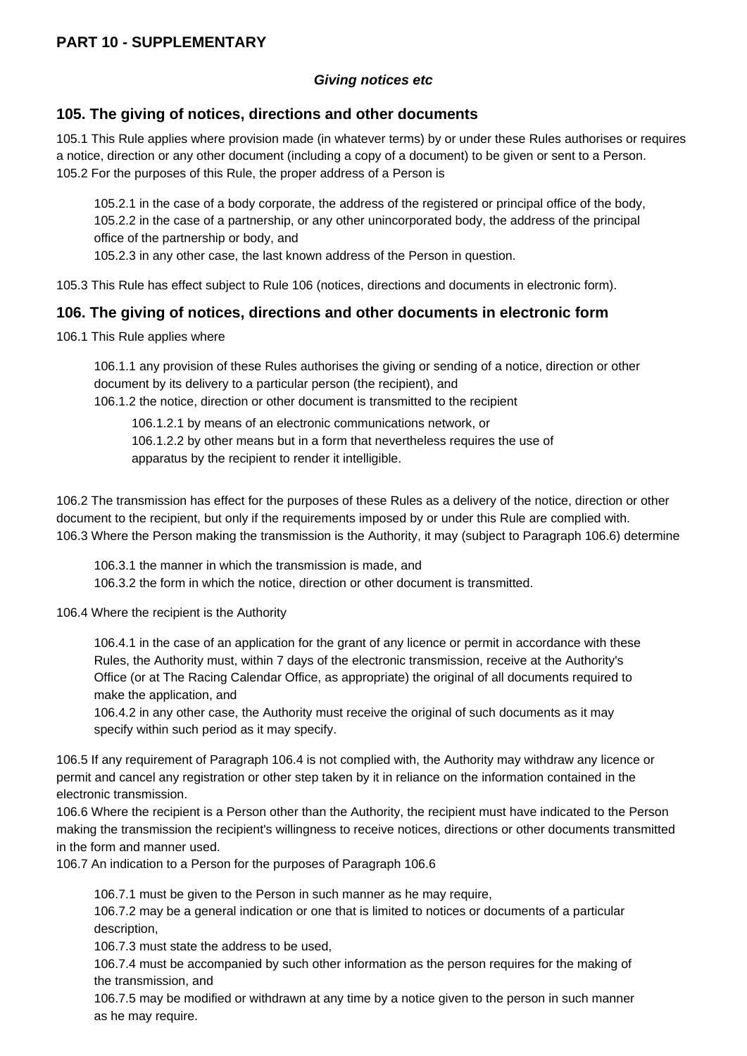## **PART 10 - SUPPLEMENTARY**

## **Giving notices etc**

## **105. The giving of notices, directions and other documents**

105.1 This Rule applies where provision made (in whatever terms) by or under these Rules authorises or requires a notice, direction or any other document (including a copy of a document) to be given or sent to a Person. 105.2 For the purposes of this Rule, the proper address of a Person is

105.2.1 in the case of a body corporate, the address of the registered or principal office of the body, 105.2.2 in the case of a partnership, or any other unincorporated body, the address of the principal office of the partnership or body, and

105.2.3 in any other case, the last known address of the Person in question.

105.3 This Rule has effect subject to Rule 106 (notices, directions and documents in electronic form).

## **106. The giving of notices, directions and other documents in electronic form**

106.1 This Rule applies where

106.1.1 any provision of these Rules authorises the giving or sending of a notice, direction or other document by its delivery to a particular person (the recipient), and 106.1.2 the notice, direction or other document is transmitted to the recipient

106.1.2.1 by means of an electronic communications network, or 106.1.2.2 by other means but in a form that nevertheless requires the use of apparatus by the recipient to render it intelligible.

106.2 The transmission has effect for the purposes of these Rules as a delivery of the notice, direction or other document to the recipient, but only if the requirements imposed by or under this Rule are complied with. 106.3 Where the Person making the transmission is the Authority, it may (subject to Paragraph 106.6) determine

106.3.1 the manner in which the transmission is made, and 106.3.2 the form in which the notice, direction or other document is transmitted.

106.4 Where the recipient is the Authority

106.4.1 in the case of an application for the grant of any licence or permit in accordance with these Rules, the Authority must, within 7 days of the electronic transmission, receive at the Authority's Office (or at The Racing Calendar Office, as appropriate) the original of all documents required to make the application, and

106.4.2 in any other case, the Authority must receive the original of such documents as it may specify within such period as it may specify.

106.5 If any requirement of Paragraph 106.4 is not complied with, the Authority may withdraw any licence or permit and cancel any registration or other step taken by it in reliance on the information contained in the electronic transmission.

106.6 Where the recipient is a Person other than the Authority, the recipient must have indicated to the Person making the transmission the recipient's willingness to receive notices, directions or other documents transmitted in the form and manner used.

106.7 An indication to a Person for the purposes of Paragraph 106.6

106.7.1 must be given to the Person in such manner as he may require,

106.7.2 may be a general indication or one that is limited to notices or documents of a particular description,

106.7.3 must state the address to be used,

106.7.4 must be accompanied by such other information as the person requires for the making of the transmission, and

106.7.5 may be modified or withdrawn at any time by a notice given to the person in such manner as he may require.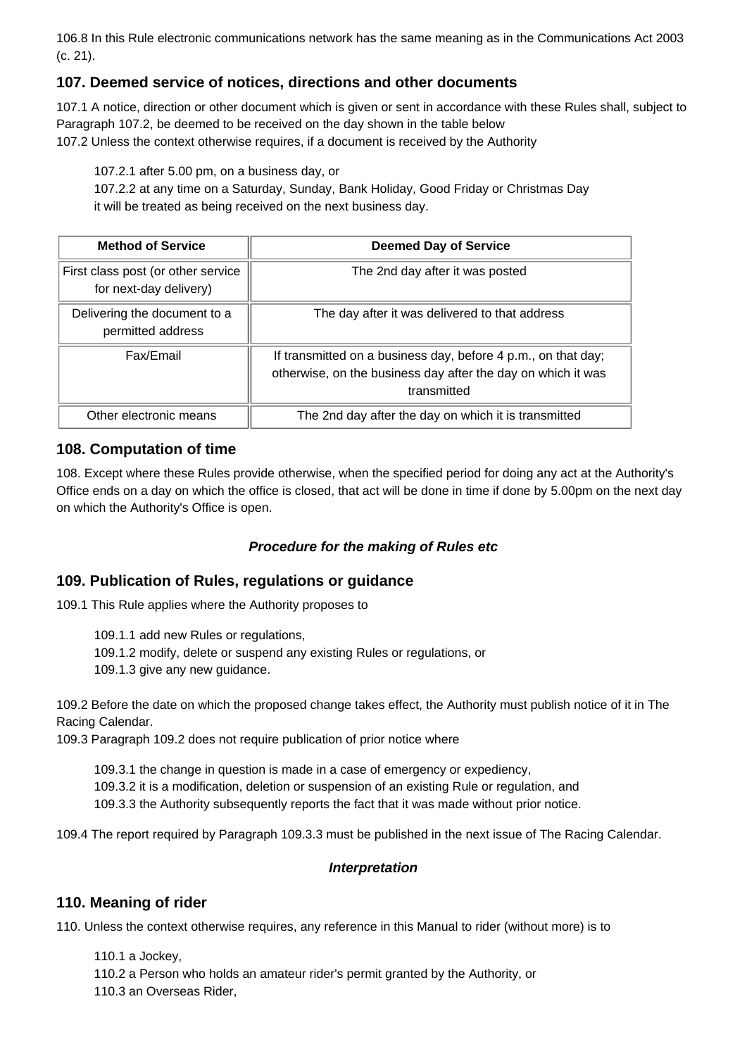106.8 In this Rule electronic communications network has the same meaning as in the Communications Act 2003 (c. 21).

# **107. Deemed service of notices, directions and other documents**

107.1 A notice, direction or other document which is given or sent in accordance with these Rules shall, subject to Paragraph 107.2, be deemed to be received on the day shown in the table below 107.2 Unless the context otherwise requires, if a document is received by the Authority

107.2.1 after 5.00 pm, on a business day, or

107.2.2 at any time on a Saturday, Sunday, Bank Holiday, Good Friday or Christmas Day it will be treated as being received on the next business day.

| <b>Method of Service</b>                                     | <b>Deemed Day of Service</b>                                                                                                                 |
|--------------------------------------------------------------|----------------------------------------------------------------------------------------------------------------------------------------------|
| First class post (or other service<br>for next-day delivery) | The 2nd day after it was posted                                                                                                              |
| Delivering the document to a<br>permitted address            | The day after it was delivered to that address                                                                                               |
| Fax/Email                                                    | If transmitted on a business day, before 4 p.m., on that day;<br>otherwise, on the business day after the day on which it was<br>transmitted |
| Other electronic means                                       | The 2nd day after the day on which it is transmitted                                                                                         |

# **108. Computation of time**

108. Except where these Rules provide otherwise, when the specified period for doing any act at the Authority's Office ends on a day on which the office is closed, that act will be done in time if done by 5.00pm on the next day on which the Authority's Office is open.

## **Procedure for the making of Rules etc**

# **109. Publication of Rules, regulations or guidance**

109.1 This Rule applies where the Authority proposes to

109.1.1 add new Rules or regulations,

109.1.2 modify, delete or suspend any existing Rules or regulations, or

109.1.3 give any new guidance.

109.2 Before the date on which the proposed change takes effect, the Authority must publish notice of it in The Racing Calendar.

109.3 Paragraph 109.2 does not require publication of prior notice where

109.3.1 the change in question is made in a case of emergency or expediency,

109.3.2 it is a modification, deletion or suspension of an existing Rule or regulation, and

109.3.3 the Authority subsequently reports the fact that it was made without prior notice.

109.4 The report required by Paragraph 109.3.3 must be published in the next issue of The Racing Calendar.

## **Interpretation**

# **110. Meaning of rider**

110. Unless the context otherwise requires, any reference in this Manual to rider (without more) is to

110.1 a Jockey, 110.2 a Person who holds an amateur rider's permit granted by the Authority, or 110.3 an Overseas Rider,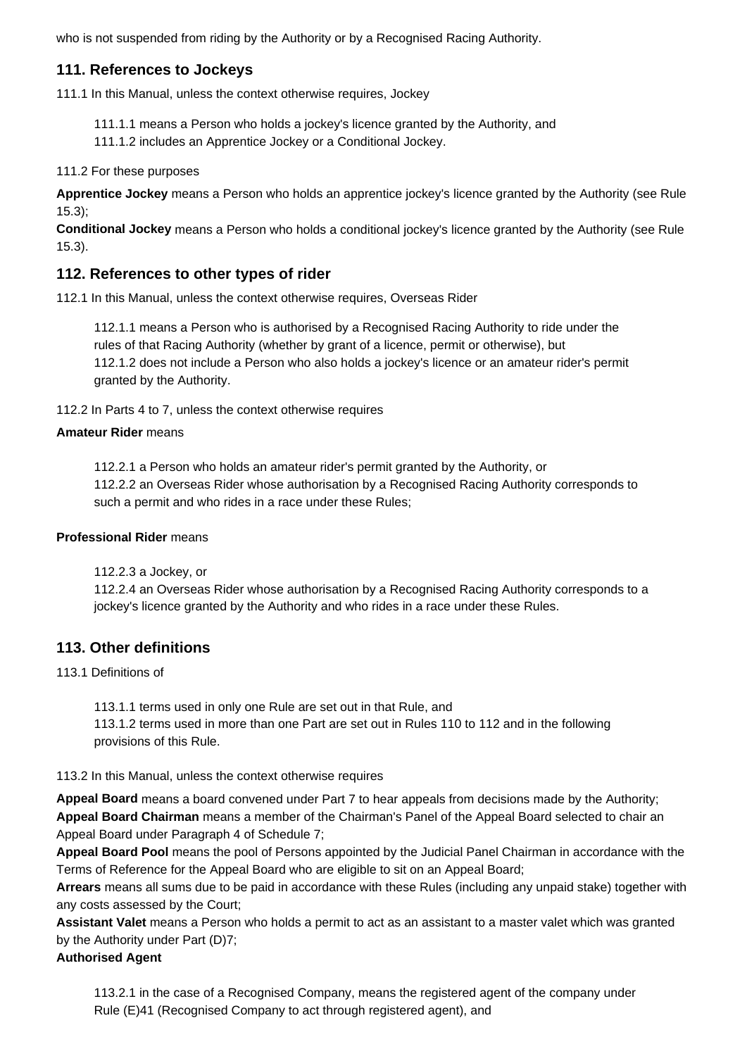who is not suspended from riding by the Authority or by a Recognised Racing Authority.

# **111. References to Jockeys**

111.1 In this Manual, unless the context otherwise requires, Jockey

- 111.1.1 means a Person who holds a jockey's licence granted by the Authority, and
- 111.1.2 includes an Apprentice Jockey or a Conditional Jockey.

### 111.2 For these purposes

**Apprentice Jockey** means a Person who holds an apprentice jockey's licence granted by the Authority (see Rule 15.3);

**Conditional Jockey** means a Person who holds a conditional jockey's licence granted by the Authority (see Rule 15.3).

# **112. References to other types of rider**

112.1 In this Manual, unless the context otherwise requires, Overseas Rider

112.1.1 means a Person who is authorised by a Recognised Racing Authority to ride under the rules of that Racing Authority (whether by grant of a licence, permit or otherwise), but 112.1.2 does not include a Person who also holds a jockey's licence or an amateur rider's permit granted by the Authority.

112.2 In Parts 4 to 7, unless the context otherwise requires

## **Amateur Rider** means

112.2.1 a Person who holds an amateur rider's permit granted by the Authority, or 112.2.2 an Overseas Rider whose authorisation by a Recognised Racing Authority corresponds to such a permit and who rides in a race under these Rules;

#### **Professional Rider** means

112.2.3 a Jockey, or

112.2.4 an Overseas Rider whose authorisation by a Recognised Racing Authority corresponds to a jockey's licence granted by the Authority and who rides in a race under these Rules.

# **113. Other definitions**

#### 113.1 Definitions of

113.1.1 terms used in only one Rule are set out in that Rule, and 113.1.2 terms used in more than one Part are set out in Rules 110 to 112 and in the following provisions of this Rule.

## 113.2 In this Manual, unless the context otherwise requires

**Appeal Board** means a board convened under Part 7 to hear appeals from decisions made by the Authority; **Appeal Board Chairman** means a member of the Chairman's Panel of the Appeal Board selected to chair an Appeal Board under Paragraph 4 of Schedule 7;

**Appeal Board Pool** means the pool of Persons appointed by the Judicial Panel Chairman in accordance with the Terms of Reference for the Appeal Board who are eligible to sit on an Appeal Board;

**Arrears** means all sums due to be paid in accordance with these Rules (including any unpaid stake) together with any costs assessed by the Court;

**Assistant Valet** means a Person who holds a permit to act as an assistant to a master valet which was granted by the Authority under Part (D)7;

## **Authorised Agent**

113.2.1 in the case of a Recognised Company, means the registered agent of the company under Rule (E)41 (Recognised Company to act through registered agent), and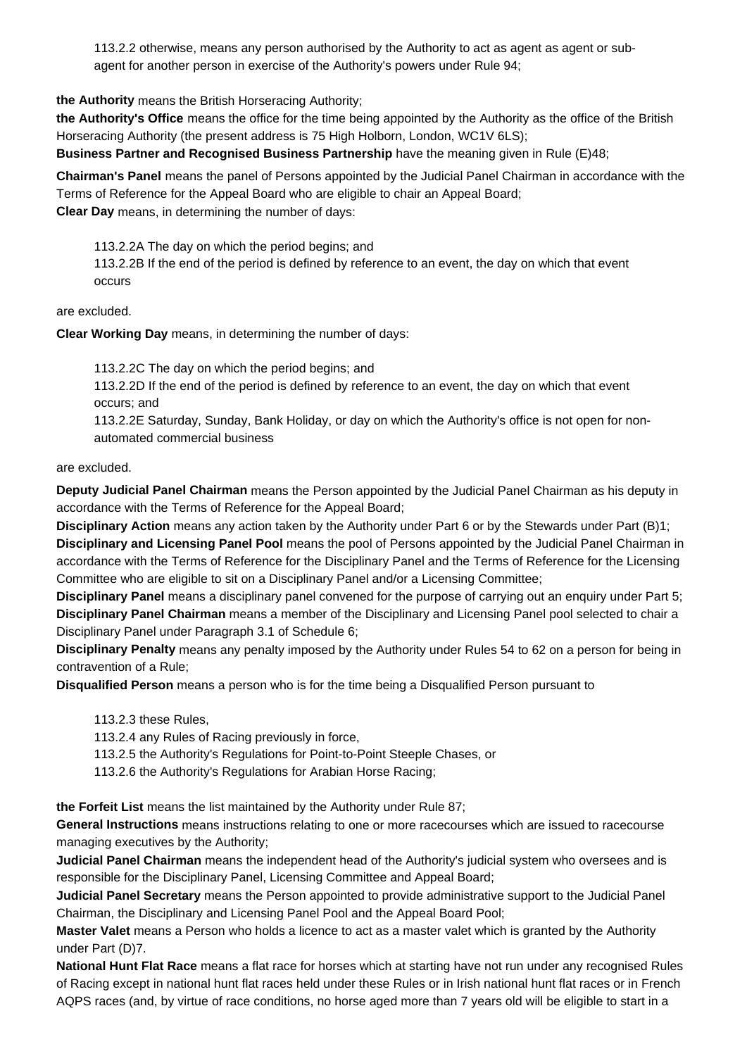113.2.2 otherwise, means any person authorised by the Authority to act as agent as agent or subagent for another person in exercise of the Authority's powers under Rule 94;

**the Authority** means the British Horseracing Authority;

**the Authority's Office** means the office for the time being appointed by the Authority as the office of the British Horseracing Authority (the present address is 75 High Holborn, London, WC1V 6LS); **Business Partner and Recognised Business Partnership** have the meaning given in Rule (E)48;

**Chairman's Panel** means the panel of Persons appointed by the Judicial Panel Chairman in accordance with the Terms of Reference for the Appeal Board who are eligible to chair an Appeal Board; **Clear Day** means, in determining the number of days:

113.2.2A The day on which the period begins; and 113.2.2B If the end of the period is defined by reference to an event, the day on which that event occurs

are excluded.

**Clear Working Day** means, in determining the number of days:

113.2.2C The day on which the period begins; and

113.2.2D If the end of the period is defined by reference to an event, the day on which that event occurs; and

113.2.2E Saturday, Sunday, Bank Holiday, or day on which the Authority's office is not open for nonautomated commercial business

are excluded.

**Deputy Judicial Panel Chairman** means the Person appointed by the Judicial Panel Chairman as his deputy in accordance with the Terms of Reference for the Appeal Board;

**Disciplinary Action** means any action taken by the Authority under Part 6 or by the Stewards under Part (B)1; **Disciplinary and Licensing Panel Pool** means the pool of Persons appointed by the Judicial Panel Chairman in accordance with the Terms of Reference for the Disciplinary Panel and the Terms of Reference for the Licensing Committee who are eligible to sit on a Disciplinary Panel and/or a Licensing Committee;

**Disciplinary Panel** means a disciplinary panel convened for the purpose of carrying out an enquiry under Part 5; **Disciplinary Panel Chairman** means a member of the Disciplinary and Licensing Panel pool selected to chair a Disciplinary Panel under Paragraph 3.1 of Schedule 6;

**Disciplinary Penalty** means any penalty imposed by the Authority under Rules 54 to 62 on a person for being in contravention of a Rule;

**Disqualified Person** means a person who is for the time being a Disqualified Person pursuant to

113.2.3 these Rules,

113.2.4 any Rules of Racing previously in force,

113.2.5 the Authority's Regulations for Point-to-Point Steeple Chases, or

113.2.6 the Authority's Regulations for Arabian Horse Racing;

**the Forfeit List** means the list maintained by the Authority under Rule 87;

**General Instructions** means instructions relating to one or more racecourses which are issued to racecourse managing executives by the Authority;

**Judicial Panel Chairman** means the independent head of the Authority's judicial system who oversees and is responsible for the Disciplinary Panel, Licensing Committee and Appeal Board;

**Judicial Panel Secretary** means the Person appointed to provide administrative support to the Judicial Panel Chairman, the Disciplinary and Licensing Panel Pool and the Appeal Board Pool;

**Master Valet** means a Person who holds a licence to act as a master valet which is granted by the Authority under Part (D)7.

**National Hunt Flat Race** means a flat race for horses which at starting have not run under any recognised Rules of Racing except in national hunt flat races held under these Rules or in Irish national hunt flat races or in French AQPS races (and, by virtue of race conditions, no horse aged more than 7 years old will be eligible to start in a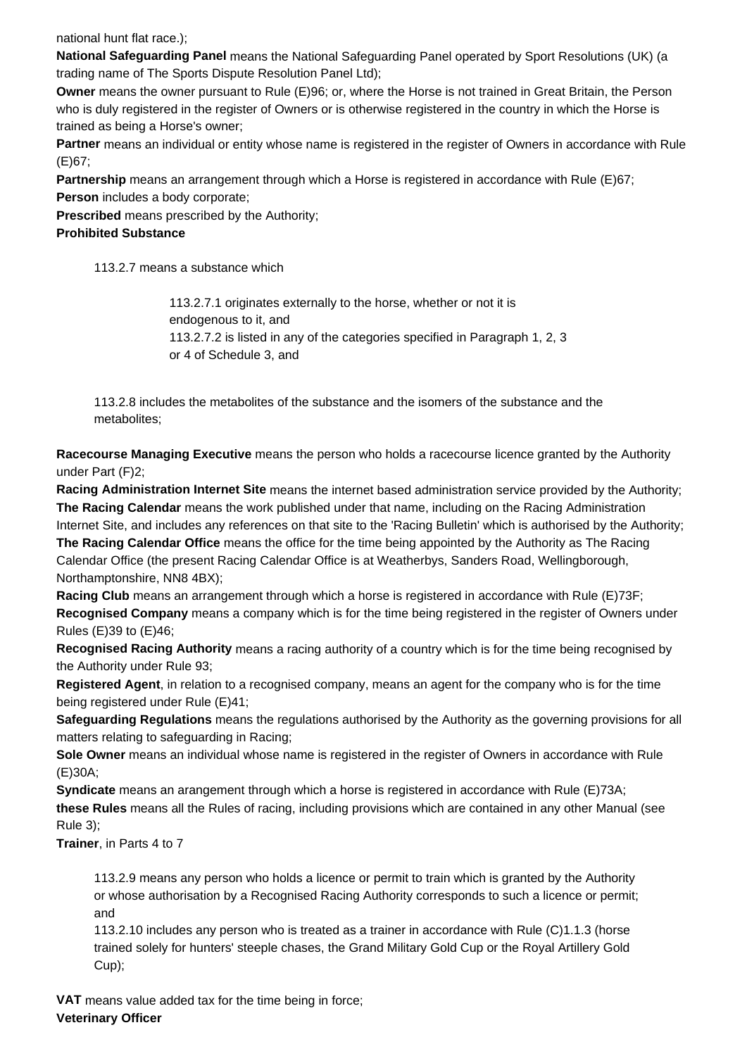national hunt flat race.);

**National Safeguarding Panel** means the National Safeguarding Panel operated by Sport Resolutions (UK) (a trading name of The Sports Dispute Resolution Panel Ltd);

**Owner** means the owner pursuant to Rule (E)96; or, where the Horse is not trained in Great Britain, the Person who is duly registered in the register of Owners or is otherwise registered in the country in which the Horse is trained as being a Horse's owner;

**Partner** means an individual or entity whose name is registered in the register of Owners in accordance with Rule (E)67;

**Partnership** means an arrangement through which a Horse is registered in accordance with Rule (E)67; **Person** includes a body corporate;

**Prescribed** means prescribed by the Authority;

#### **Prohibited Substance**

113.2.7 means a substance which

113.2.7.1 originates externally to the horse, whether or not it is endogenous to it, and 113.2.7.2 is listed in any of the categories specified in Paragraph 1, 2, 3 or 4 of Schedule 3, and

113.2.8 includes the metabolites of the substance and the isomers of the substance and the metabolites;

**Racecourse Managing Executive** means the person who holds a racecourse licence granted by the Authority under Part (F)2;

**Racing Administration Internet Site** means the internet based administration service provided by the Authority; **The Racing Calendar** means the work published under that name, including on the Racing Administration Internet Site, and includes any references on that site to the 'Racing Bulletin' which is authorised by the Authority; **The Racing Calendar Office** means the office for the time being appointed by the Authority as The Racing Calendar Office (the present Racing Calendar Office is at Weatherbys, Sanders Road, Wellingborough, Northamptonshire, NN8 4BX);

**Racing Club** means an arrangement through which a horse is registered in accordance with Rule (E)73F; **Recognised Company** means a company which is for the time being registered in the register of Owners under Rules (E)39 to (E)46;

**Recognised Racing Authority** means a racing authority of a country which is for the time being recognised by the Authority under Rule 93;

**Registered Agent**, in relation to a recognised company, means an agent for the company who is for the time being registered under Rule (E)41;

**Safeguarding Regulations** means the regulations authorised by the Authority as the governing provisions for all matters relating to safeguarding in Racing;

**Sole Owner** means an individual whose name is registered in the register of Owners in accordance with Rule (E)30A;

**Syndicate** means an arangement through which a horse is registered in accordance with Rule (E)73A; **these Rules** means all the Rules of racing, including provisions which are contained in any other Manual (see Rule 3);

**Trainer**, in Parts 4 to 7

113.2.9 means any person who holds a licence or permit to train which is granted by the Authority or whose authorisation by a Recognised Racing Authority corresponds to such a licence or permit; and

113.2.10 includes any person who is treated as a trainer in accordance with Rule (C)1.1.3 (horse trained solely for hunters' steeple chases, the Grand Military Gold Cup or the Royal Artillery Gold Cup);

**VAT** means value added tax for the time being in force; **Veterinary Officer**